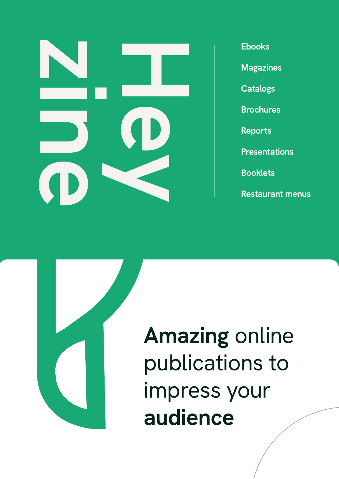

**Ebooks** 

**Magazines** 

**Catalogs** 

**Brochures** 

Reports

**Presentations** 

**Booklets** 

Restaurant menus



Amazing online publications to impress your audience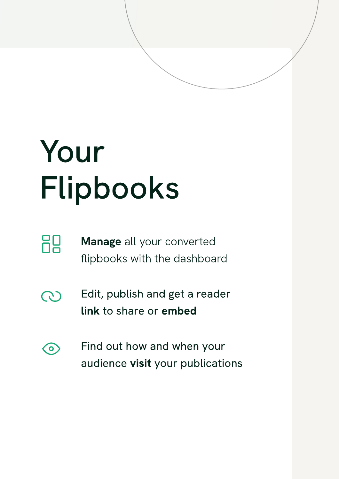## Your Flipbooks

- 88
- Manage all your converted flipbooks with the dashboard
- Edit, publish and get a reader  $\mathbb{C}$ link to share or embed
- Find out how and when your  $\bigodot$ audience visit your publications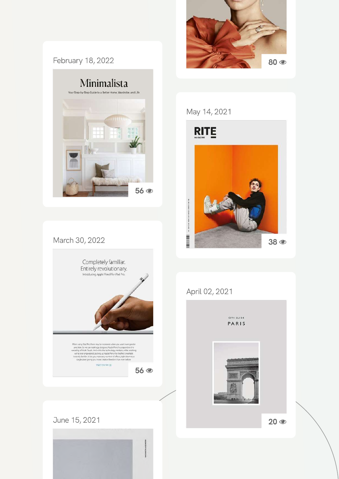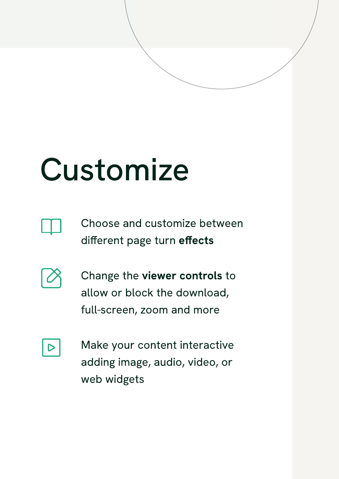#### Customize



Choose and customize between different page turn effects



Change the viewer controls to allow or block the download, full-screen, zoom and more

|--|

Make your content interactive adding image, audio, video, or web widgets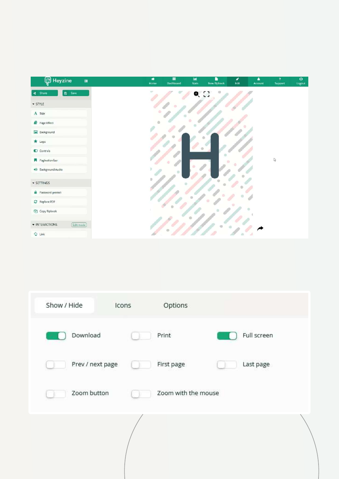| <b>Q</b> Heyzine<br>$\equiv$  | ۰<br>Home | $\equiv$<br>Dashboard | $\underline{\text{Im}}$<br>Stats | D<br>New flipbook | ,<br>Edit | ٠<br>Account | $\overline{\mathbf{r}}$<br>Support | Ø<br>Logout |
|-------------------------------|-----------|-----------------------|----------------------------------|-------------------|-----------|--------------|------------------------------------|-------------|
| <b>EL</b> Save<br>< Share     | $\sim$    |                       | $Q_{c}$                          |                   |           |              |                                    |             |
| $\sim$ STYLE                  |           |                       |                                  |                   |           |              |                                    |             |
| $A$ Title                     |           |                       |                                  |                   |           |              |                                    |             |
| Page Effect                   |           |                       |                                  |                   |           |              |                                    |             |
| <b>E</b> Background           |           |                       |                                  |                   |           |              |                                    |             |
| $\star$ Logo                  |           |                       |                                  |                   |           |              |                                    |             |
| C Controls                    |           |                       |                                  |                   |           |              |                                    |             |
| Pagination bar                |           |                       |                                  |                   |           |              | $\mathbb{Z}$                       |             |
| → Background Audio            |           |                       |                                  |                   |           |              |                                    |             |
| SETTINGS                      | b         |                       |                                  |                   |           |              |                                    |             |
| Password protect              |           |                       |                                  |                   |           |              |                                    |             |
| C Replace PDF                 |           |                       |                                  |                   |           |              |                                    |             |
| Copy flipbook                 |           |                       |                                  |                   |           |              |                                    |             |
| • INTERACTIONS<br>[Edit mode] |           |                       |                                  |                   |           |              |                                    |             |
| $\frac{1}{2}$ Link            |           |                       |                                  |                   |           |              |                                    |             |

| Show / Hide      | Icons | Options             |             |  |
|------------------|-------|---------------------|-------------|--|
| Download         |       | Print               | Full screen |  |
| Prev / next page |       | First page          | Last page   |  |
| Zoom button      |       | Zoom with the mouse |             |  |
|                  |       |                     |             |  |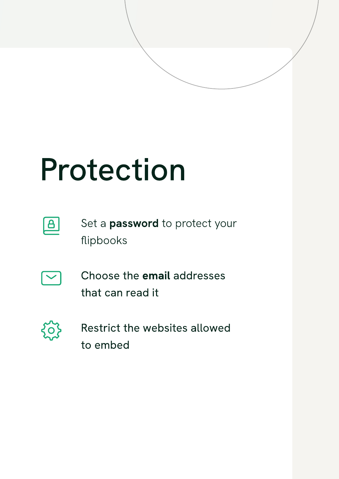### Protection



Set a **password** to protect your flipbooks



Choose the email addresses that can read it



Restrict the websites allowed to embed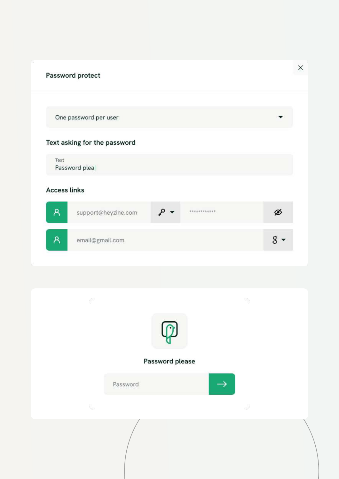#### $\times$ Password protect One password per user Text asking for the password Text Password plea **Access links**  $\mathsf{R}$ ۔ م Ø support@heyzine.com \*\*\*\*\*\*\*\*\*\*\*\*\*  $\mathsf{A}$  $8 \cdot$ email@gmail.com

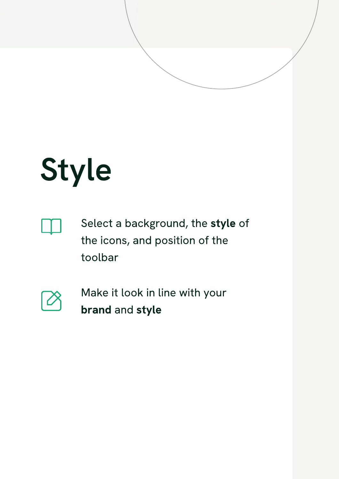## Style



Select a background, the style of the icons, and position of the toolbar



Make it look in line with your brand and style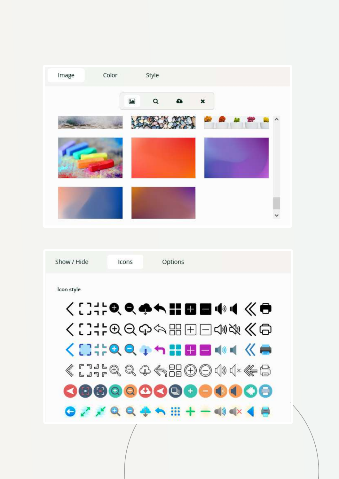